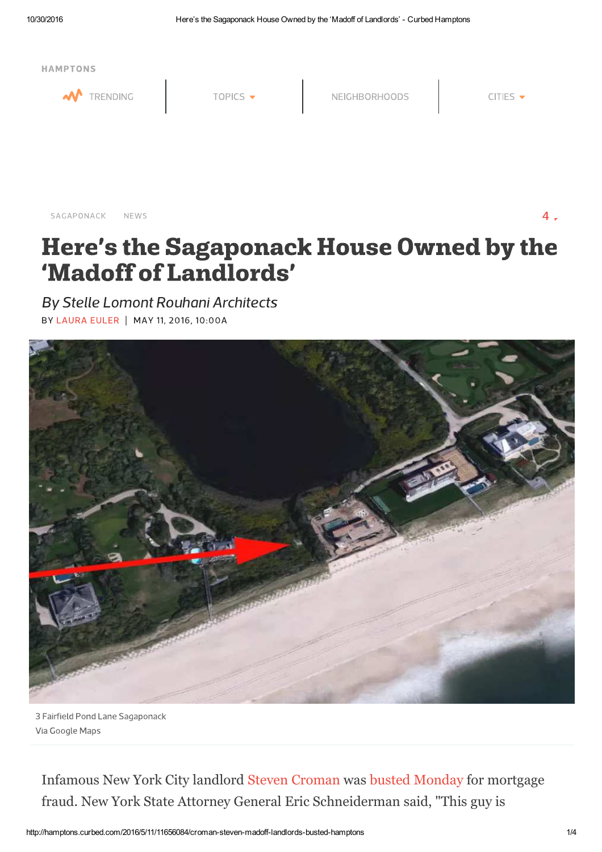

SAGAPONACK NEWS  $4.5$ 

# Here's the Sagaponack House Owned by the 'Madoff of Landlords'

By Stelle Lomont Rouhani Architects BY LAURA EULER | MAY 11, 2016, 10:00A



3 Fairfield Pond Lane Sagaponack Via Google Maps

Infamous New York City landlord Steven Croman was busted Monday for mortgage fraud. New York State Attorney General Eric Schneiderman said, "This guy is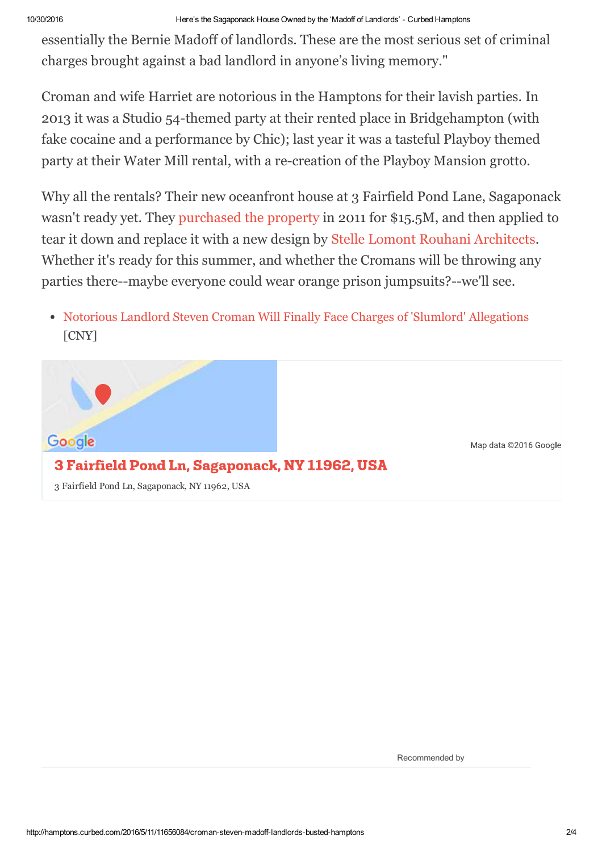essentially the Bernie Madoff of landlords. These are the most serious set of criminal charges brought against a bad landlord in anyone's living memory."

Croman and wife Harriet are notorious in the Hamptons for their lavish parties. In 2013 it was a Studio 54-themed party at their rented place in Bridgehampton (with fake cocaine and a performance by Chic); last year it was a tasteful Playboy themed party at their Water Mill rental, with a re-creation of the Playboy Mansion grotto.

Why all the rentals? Their new oceanfront house at 3 Fairfield Pond Lane, Sagaponack wasn't ready yet. They purchased the property in 2011 for \$15.5M, and then applied to tear it down and replace it with a new design by Stelle Lomont Rouhani Architects. Whether it's ready for this summer, and whether the Cromans will be throwing any parties there--maybe everyone could wear orange prison jumpsuits?--we'll see.

Notorious Landlord Steven Croman Will Finally Face Charges of 'Slumlord' Allegations [CNY]



Recommended by